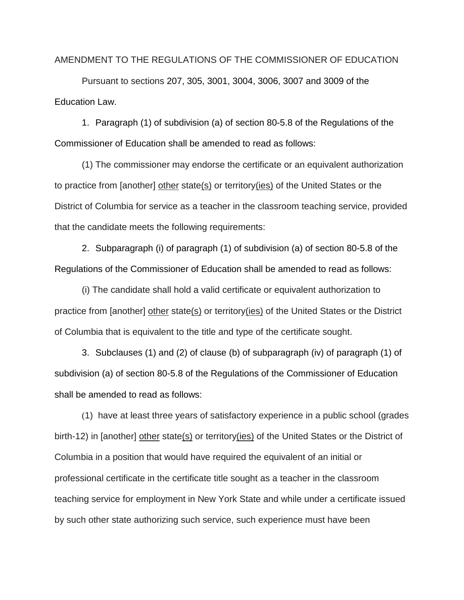## AMENDMENT TO THE REGULATIONS OF THE COMMISSIONER OF EDUCATION

Pursuant to sections 207, 305, 3001, 3004, 3006, 3007 and 3009 of the Education Law.

1. Paragraph (1) of subdivision (a) of section 80-5.8 of the Regulations of the Commissioner of Education shall be amended to read as follows:

(1) The commissioner may endorse the certificate or an equivalent authorization to practice from [another] other state(s) or territory(ies) of the United States or the District of Columbia for service as a teacher in the classroom teaching service, provided that the candidate meets the following requirements:

2. Subparagraph (i) of paragraph (1) of subdivision (a) of section 80-5.8 of the Regulations of the Commissioner of Education shall be amended to read as follows:

(i) The candidate shall hold a valid certificate or equivalent authorization to practice from [another] other state(s) or territory(ies) of the United States or the District of Columbia that is equivalent to the title and type of the certificate sought.

3. Subclauses (1) and (2) of clause (b) of subparagraph (iv) of paragraph (1) of subdivision (a) of section 80-5.8 of the Regulations of the Commissioner of Education shall be amended to read as follows:

(1) have at least three years of satisfactory experience in a public school (grades birth-12) in [another] other state(s) or territory(ies) of the United States or the District of Columbia in a position that would have required the equivalent of an initial or professional certificate in the certificate title sought as a teacher in the classroom teaching service for employment in New York State and while under a certificate issued by such other state authorizing such service, such experience must have been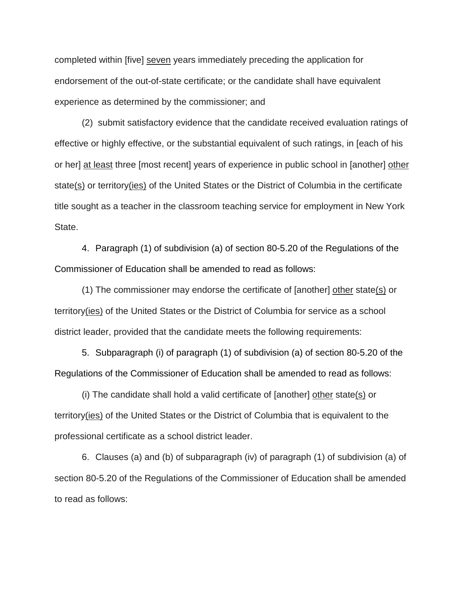completed within [five] seven years immediately preceding the application for endorsement of the out-of-state certificate; or the candidate shall have equivalent experience as determined by the commissioner; and

(2) submit satisfactory evidence that the candidate received evaluation ratings of effective or highly effective, or the substantial equivalent of such ratings, in [each of his or her] at least three [most recent] years of experience in public school in [another] other state(s) or territory(ies) of the United States or the District of Columbia in the certificate title sought as a teacher in the classroom teaching service for employment in New York State.

4. Paragraph (1) of subdivision (a) of section 80-5.20 of the Regulations of the Commissioner of Education shall be amended to read as follows:

(1) The commissioner may endorse the certificate of [another] other state(s) or territory(ies) of the United States or the District of Columbia for service as a school district leader, provided that the candidate meets the following requirements:

5. Subparagraph (i) of paragraph (1) of subdivision (a) of section 80-5.20 of the Regulations of the Commissioner of Education shall be amended to read as follows:

(i) The candidate shall hold a valid certificate of [another] other state(s) or territory(ies) of the United States or the District of Columbia that is equivalent to the professional certificate as a school district leader.

6. Clauses (a) and (b) of subparagraph (iv) of paragraph (1) of subdivision (a) of section 80-5.20 of the Regulations of the Commissioner of Education shall be amended to read as follows: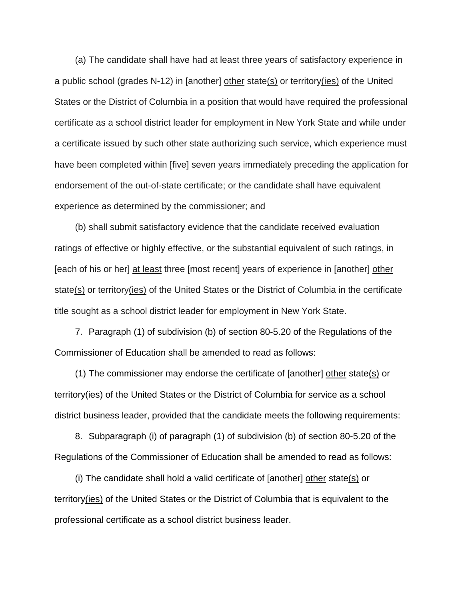(a) The candidate shall have had at least three years of satisfactory experience in a public school (grades N-12) in [another] other state(s) or territory(ies) of the United States or the District of Columbia in a position that would have required the professional certificate as a school district leader for employment in New York State and while under a certificate issued by such other state authorizing such service, which experience must have been completed within [five] seven years immediately preceding the application for endorsement of the out-of-state certificate; or the candidate shall have equivalent experience as determined by the commissioner; and

(b) shall submit satisfactory evidence that the candidate received evaluation ratings of effective or highly effective, or the substantial equivalent of such ratings, in [each of his or her] at least three [most recent] years of experience in [another] other state(s) or territory(ies) of the United States or the District of Columbia in the certificate title sought as a school district leader for employment in New York State.

7. Paragraph (1) of subdivision (b) of section 80-5.20 of the Regulations of the Commissioner of Education shall be amended to read as follows:

(1) The commissioner may endorse the certificate of [another] other state(s) or territory(ies) of the United States or the District of Columbia for service as a school district business leader, provided that the candidate meets the following requirements:

8. Subparagraph (i) of paragraph (1) of subdivision (b) of section 80-5.20 of the Regulations of the Commissioner of Education shall be amended to read as follows:

(i) The candidate shall hold a valid certificate of [another] other state(s) or territory(ies) of the United States or the District of Columbia that is equivalent to the professional certificate as a school district business leader.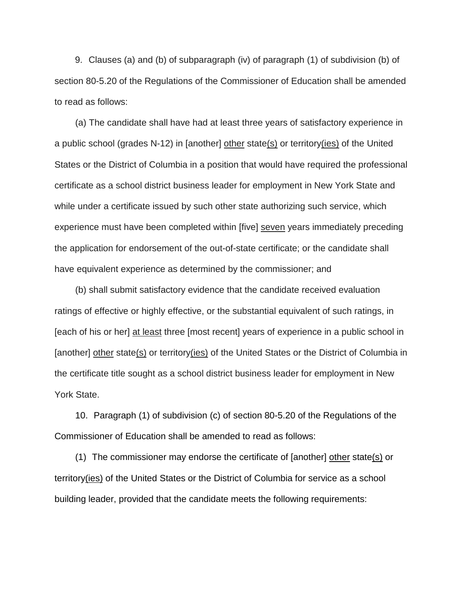9. Clauses (a) and (b) of subparagraph (iv) of paragraph (1) of subdivision (b) of section 80-5.20 of the Regulations of the Commissioner of Education shall be amended to read as follows:

(a) The candidate shall have had at least three years of satisfactory experience in a public school (grades N-12) in [another] other state(s) or territory(ies) of the United States or the District of Columbia in a position that would have required the professional certificate as a school district business leader for employment in New York State and while under a certificate issued by such other state authorizing such service, which experience must have been completed within [five] seven years immediately preceding the application for endorsement of the out-of-state certificate; or the candidate shall have equivalent experience as determined by the commissioner; and

(b) shall submit satisfactory evidence that the candidate received evaluation ratings of effective or highly effective, or the substantial equivalent of such ratings, in [each of his or her] at least three [most recent] years of experience in a public school in [another] other state(s) or territory(ies) of the United States or the District of Columbia in the certificate title sought as a school district business leader for employment in New York State.

10. Paragraph (1) of subdivision (c) of section 80-5.20 of the Regulations of the Commissioner of Education shall be amended to read as follows:

(1) The commissioner may endorse the certificate of [another] other state(s) or territory(ies) of the United States or the District of Columbia for service as a school building leader, provided that the candidate meets the following requirements: